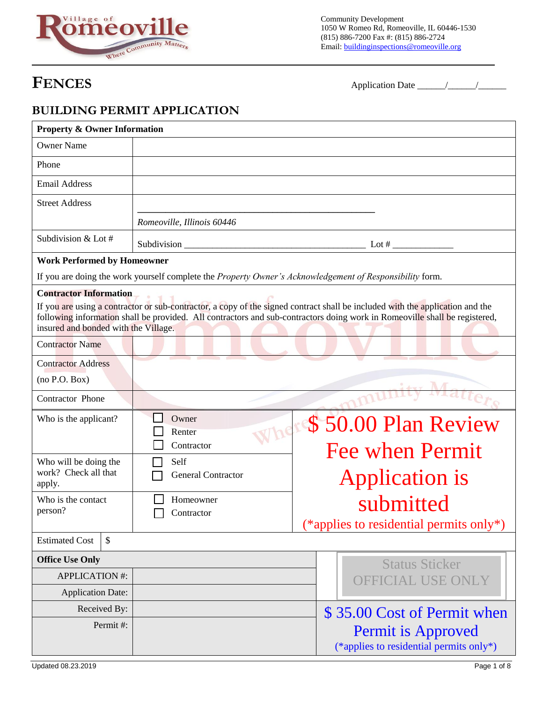

Community Development 1050 W Romeo Rd, Romeoville, IL 60446-1530 (815) 886-7200 Fax #: (815) 886-2724 Email: **buildinginspections@romeoville.org** 

**FENCES** Application Date \_\_\_\_\_\_/\_\_\_\_\_\_/\_\_\_\_\_\_

### **BUILDING PERMIT APPLICATION**

| <b>Property &amp; Owner Information</b>                               |          |                                                                                                          |                   |                                                                                                                                                                                                                                                             |  |  |  |
|-----------------------------------------------------------------------|----------|----------------------------------------------------------------------------------------------------------|-------------------|-------------------------------------------------------------------------------------------------------------------------------------------------------------------------------------------------------------------------------------------------------------|--|--|--|
| <b>Owner Name</b>                                                     |          |                                                                                                          |                   |                                                                                                                                                                                                                                                             |  |  |  |
| Phone                                                                 |          |                                                                                                          |                   |                                                                                                                                                                                                                                                             |  |  |  |
| <b>Email Address</b>                                                  |          |                                                                                                          |                   |                                                                                                                                                                                                                                                             |  |  |  |
| <b>Street Address</b>                                                 |          |                                                                                                          |                   |                                                                                                                                                                                                                                                             |  |  |  |
|                                                                       |          | Romeoville, Illinois 60446                                                                               |                   |                                                                                                                                                                                                                                                             |  |  |  |
| Subdivision & Lot #                                                   |          |                                                                                                          |                   |                                                                                                                                                                                                                                                             |  |  |  |
| <b>Work Performed by Homeowner</b>                                    |          |                                                                                                          |                   |                                                                                                                                                                                                                                                             |  |  |  |
|                                                                       |          | If you are doing the work yourself complete the Property Owner's Acknowledgement of Responsibility form. |                   |                                                                                                                                                                                                                                                             |  |  |  |
| <b>Contractor Information</b><br>insured and bonded with the Village. |          |                                                                                                          |                   | If you are using a contractor or sub-contractor, a copy of the signed contract shall be included with the application and the<br>following information shall be provided. All contractors and sub-contractors doing work in Romeoville shall be registered, |  |  |  |
| <b>Contractor Name</b>                                                |          |                                                                                                          |                   |                                                                                                                                                                                                                                                             |  |  |  |
| <b>Contractor Address</b>                                             |          |                                                                                                          |                   |                                                                                                                                                                                                                                                             |  |  |  |
| (no P.O. Box)                                                         |          |                                                                                                          |                   |                                                                                                                                                                                                                                                             |  |  |  |
| Contractor Phone                                                      |          |                                                                                                          |                   |                                                                                                                                                                                                                                                             |  |  |  |
| Who is the applicant?                                                 |          | Owner<br>Renter                                                                                          |                   | Where \$50.00 Plan Review                                                                                                                                                                                                                                   |  |  |  |
|                                                                       |          | Contractor                                                                                               |                   | <b>Fee when Permit</b>                                                                                                                                                                                                                                      |  |  |  |
| Who will be doing the<br>work? Check all that                         |          | Self                                                                                                     |                   |                                                                                                                                                                                                                                                             |  |  |  |
| apply.                                                                |          | <b>General Contractor</b>                                                                                |                   | Application is                                                                                                                                                                                                                                              |  |  |  |
| Who is the contact                                                    |          | Homeowner                                                                                                |                   | submitted                                                                                                                                                                                                                                                   |  |  |  |
| person?                                                               |          | Contractor                                                                                               |                   | (*applies to residential permits only*)                                                                                                                                                                                                                     |  |  |  |
| <b>Estimated Cost</b>                                                 | \$       |                                                                                                          |                   |                                                                                                                                                                                                                                                             |  |  |  |
| <b>Office Use Only</b>                                                |          |                                                                                                          |                   | <b>Status Sticker</b>                                                                                                                                                                                                                                       |  |  |  |
| <b>APPLICATION #:</b>                                                 |          |                                                                                                          | OFFICIAL USE ONLY |                                                                                                                                                                                                                                                             |  |  |  |
| <b>Application Date:</b>                                              |          |                                                                                                          |                   |                                                                                                                                                                                                                                                             |  |  |  |
| Received By:                                                          |          |                                                                                                          |                   | \$35.00 Cost of Permit when                                                                                                                                                                                                                                 |  |  |  |
|                                                                       | Permit#: |                                                                                                          |                   | <b>Permit is Approved</b>                                                                                                                                                                                                                                   |  |  |  |
|                                                                       |          |                                                                                                          |                   | (*applies to residential permits only*)                                                                                                                                                                                                                     |  |  |  |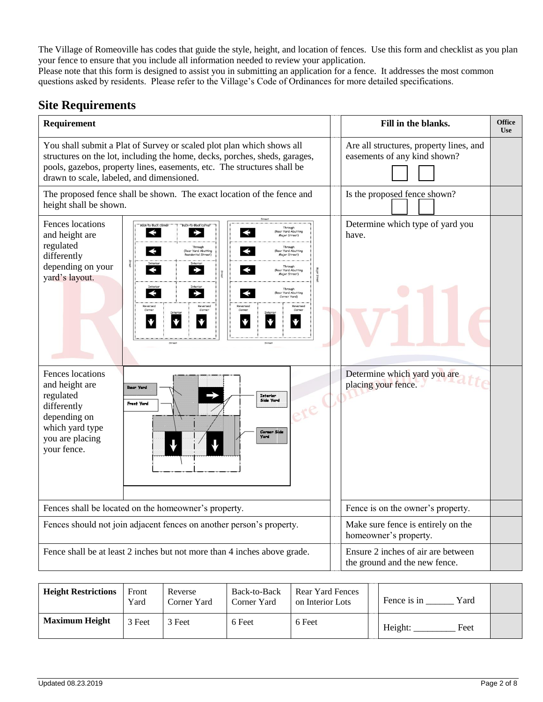The Village of Romeoville has codes that guide the style, height, and location of fences. Use this form and checklist as you plan your fence to ensure that you include all information needed to review your application.

Please note that this form is designed to assist you in submitting an application for a fence. It addresses the most common questions asked by residents. Please refer to the Village's Code of Ordinances for more detailed specifications.

### **Site Requirements**

| Requirement                                                                                                                                                                                                                                                                                                                                                                                                                                                                                                                                           | Fill in the blanks.                                                     | <b>Office</b><br><b>Use</b> |
|-------------------------------------------------------------------------------------------------------------------------------------------------------------------------------------------------------------------------------------------------------------------------------------------------------------------------------------------------------------------------------------------------------------------------------------------------------------------------------------------------------------------------------------------------------|-------------------------------------------------------------------------|-----------------------------|
| You shall submit a Plat of Survey or scaled plot plan which shows all<br>structures on the lot, including the home, decks, porches, sheds, garages,<br>pools, gazebos, property lines, easements, etc. The structures shall be<br>drawn to scale, labeled, and dimensioned.                                                                                                                                                                                                                                                                           | Are all structures, property lines, and<br>easements of any kind shown? |                             |
| The proposed fence shall be shown. The exact location of the fence and<br>height shall be shown.                                                                                                                                                                                                                                                                                                                                                                                                                                                      | Is the proposed fence shown?                                            |                             |
| Fences locations<br>Ek-To-Back Corner<br>Rear Yard Abutting<br>and height are<br>Major Street)<br>regulated<br>Through<br>Through<br>$\blacktriangleleft$<br>ar Yard Abutting<br>ar Yard Abutting<br>differently<br>tesidential Street)<br>Major Street)<br>depending on your<br>Rear Yard Abutting<br>Stree<br>Major Street)<br>yard's layout.<br>$\blacktriangleleft$<br>$\blacktriangleright$<br>(Rear Yard Abutting<br>rner Yard)<br>Reversed<br>Reversed<br>♥<br>$\blacktriangledown$<br>♥<br>$\blacklozenge$<br>♥<br>♥<br>Street<br>Street<br>× | Determine which type of yard you<br>have.                               |                             |
| Fences locations<br>and height are<br>naar yara<br>regulated<br>Interior<br><b>Side Vard</b><br><b>Front Vard</b><br>differently<br>depending on<br>which yard type<br>you are placing<br>your fence.                                                                                                                                                                                                                                                                                                                                                 | Determine which yard you are<br>placing your fence.                     |                             |
| Fences shall be located on the homeowner's property.                                                                                                                                                                                                                                                                                                                                                                                                                                                                                                  | Fence is on the owner's property.                                       |                             |
| Fences should not join adjacent fences on another person's property.                                                                                                                                                                                                                                                                                                                                                                                                                                                                                  | Make sure fence is entirely on the<br>homeowner's property.             |                             |
| Fence shall be at least 2 inches but not more than 4 inches above grade.                                                                                                                                                                                                                                                                                                                                                                                                                                                                              | Ensure 2 inches of air are between<br>the ground and the new fence.     |                             |

| <b>Height Restrictions</b> | Front<br>Yard | Reverse<br>Corner Yard | Back-to-Back<br>Corner Yard | Rear Yard Fences<br>on Interior Lots | Yard<br>Fence is in |  |
|----------------------------|---------------|------------------------|-----------------------------|--------------------------------------|---------------------|--|
| <b>Maximum Height</b>      | 3 Feet        | 3 Feet                 | 6 Feet                      | 6 Feet                               | Height:<br>Feet     |  |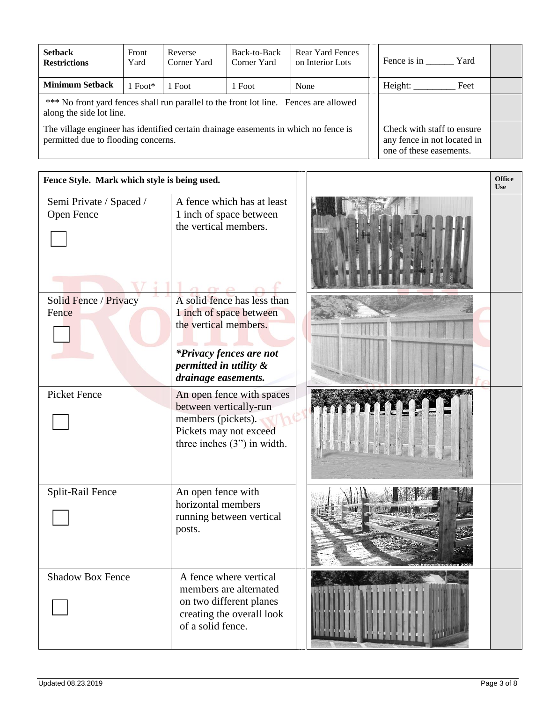| <b>Setback</b><br><b>Restrictions</b>                                                                                                                                                                              | Front<br>Yard | Reverse<br>Corner Yard | Back-to-Back<br>Corner Yard | <b>Rear Yard Fences</b><br>on Interior Lots | Fence is in Yard |  |
|--------------------------------------------------------------------------------------------------------------------------------------------------------------------------------------------------------------------|---------------|------------------------|-----------------------------|---------------------------------------------|------------------|--|
| <b>Minimum Setback</b>                                                                                                                                                                                             | $1$ Foot*     | 1 Foot                 | 1 Foot                      | None                                        | Height:<br>Feet  |  |
| *** No front yard fences shall run parallel to the front lot line. Fences are allowed<br>along the side lot line.                                                                                                  |               |                        |                             |                                             |                  |  |
| The village engineer has identified certain drainage easements in which no fence is<br>Check with staff to ensure<br>permitted due to flooding concerns.<br>any fence in not located in<br>one of these easements. |               |                        |                             |                                             |                  |  |

| Fence Style. Mark which style is being used. |                                                                                                                                                             |  | <b>Office</b><br><b>Use</b> |
|----------------------------------------------|-------------------------------------------------------------------------------------------------------------------------------------------------------------|--|-----------------------------|
| Semi Private / Spaced /<br>Open Fence        | A fence which has at least<br>1 inch of space between<br>the vertical members.                                                                              |  |                             |
| Solid Fence / Privacy<br>Fence               | A solid fence has less than<br>1 inch of space between<br>the vertical members.<br>*Privacy fences are not<br>permitted in utility &<br>drainage easements. |  |                             |
| <b>Picket Fence</b>                          | An open fence with spaces<br>between vertically-run<br>members (pickets).<br>Pickets may not exceed<br>three inches $(3")$ in width.                        |  |                             |
| Split-Rail Fence                             | An open fence with<br>horizontal members<br>running between vertical<br>posts.                                                                              |  |                             |
| <b>Shadow Box Fence</b>                      | A fence where vertical<br>members are alternated<br>on two different planes<br>creating the overall look<br>of a solid fence.                               |  |                             |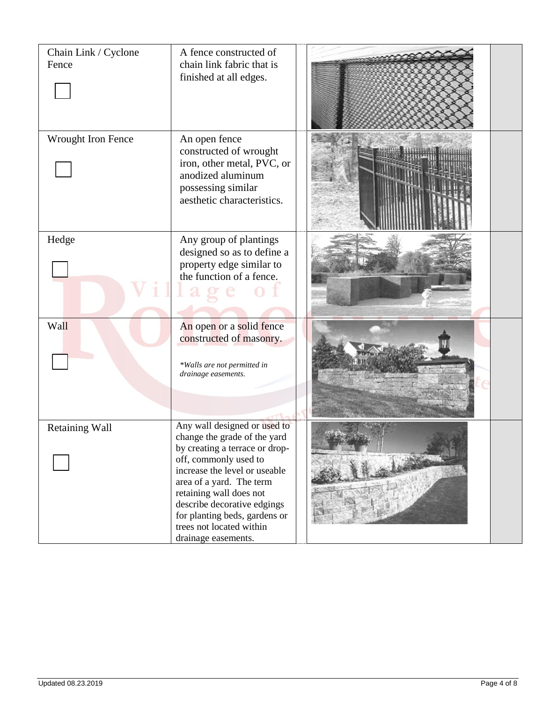| Chain Link / Cyclone<br>Fence | A fence constructed of<br>chain link fabric that is<br>finished at all edges.                                                                                                                                                                                                                                                      |  |
|-------------------------------|------------------------------------------------------------------------------------------------------------------------------------------------------------------------------------------------------------------------------------------------------------------------------------------------------------------------------------|--|
| Wrought Iron Fence            | An open fence<br>constructed of wrought<br>iron, other metal, PVC, or<br>anodized aluminum<br>possessing similar<br>aesthetic characteristics.                                                                                                                                                                                     |  |
| Hedge                         | Any group of plantings<br>designed so as to define a<br>property edge similar to<br>the function of a fence.                                                                                                                                                                                                                       |  |
| Wall                          | An open or a solid fence<br>constructed of masonry.<br>*Walls are not permitted in<br>drainage easements.                                                                                                                                                                                                                          |  |
| <b>Retaining Wall</b>         | Any wall designed or used to<br>change the grade of the yard<br>by creating a terrace or drop-<br>off, commonly used to<br>increase the level or useable<br>area of a yard. The term<br>retaining wall does not<br>describe decorative edgings<br>for planting beds, gardens or<br>trees not located within<br>drainage easements. |  |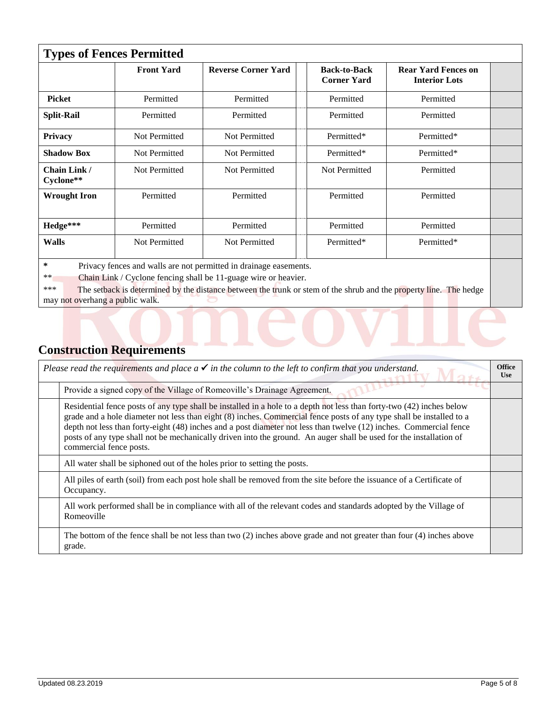| <b>Types of Fences Permitted</b>                                                                                                                                                                                                                                                                                 |                      |                            |                                           |                                                    |  |
|------------------------------------------------------------------------------------------------------------------------------------------------------------------------------------------------------------------------------------------------------------------------------------------------------------------|----------------------|----------------------------|-------------------------------------------|----------------------------------------------------|--|
|                                                                                                                                                                                                                                                                                                                  | <b>Front Yard</b>    | <b>Reverse Corner Yard</b> | <b>Back-to-Back</b><br><b>Corner Yard</b> | <b>Rear Yard Fences on</b><br><b>Interior Lots</b> |  |
| <b>Picket</b>                                                                                                                                                                                                                                                                                                    | Permitted            | Permitted                  | Permitted                                 | Permitted                                          |  |
| <b>Split-Rail</b>                                                                                                                                                                                                                                                                                                | Permitted            | Permitted                  | Permitted                                 | Permitted                                          |  |
| Privacy                                                                                                                                                                                                                                                                                                          | <b>Not Permitted</b> | Not Permitted              | Permitted*                                | Permitted*                                         |  |
| <b>Shadow Box</b>                                                                                                                                                                                                                                                                                                | Not Permitted        | Not Permitted              | Permitted*                                | Permitted*                                         |  |
| Chain Link /<br>Cyclone**                                                                                                                                                                                                                                                                                        | Not Permitted        | Not Permitted              | Not Permitted                             | Permitted                                          |  |
| <b>Wrought Iron</b>                                                                                                                                                                                                                                                                                              | Permitted            | Permitted                  | Permitted                                 | Permitted                                          |  |
| Hedge***                                                                                                                                                                                                                                                                                                         | Permitted            | Permitted                  | Permitted                                 | Permitted                                          |  |
| Not Permitted<br>Not Permitted<br>Permitted*<br>Permitted*<br><b>Walls</b>                                                                                                                                                                                                                                       |                      |                            |                                           |                                                    |  |
| ∗<br>Privacy fences and walls are not permitted in drainage easements.<br>$**$<br>Chain Link / Cyclone fencing shall be 11-guage wire or heavier.<br>***<br>The setback is determined by the distance between the trunk or stem of the shrub and the property line. The hedge<br>may not overhang a public walk. |                      |                            |                                           |                                                    |  |

# **Construction Requirements**

| Please read the requirements and place $a \checkmark$ in the column to the left to confirm that you understand.                                                                                                                                                                                                                                                                                                                                                                                                      | <b>Office</b><br><b>Use</b> |
|----------------------------------------------------------------------------------------------------------------------------------------------------------------------------------------------------------------------------------------------------------------------------------------------------------------------------------------------------------------------------------------------------------------------------------------------------------------------------------------------------------------------|-----------------------------|
| Provide a signed copy of the Village of Romeoville's Drainage Agreement.                                                                                                                                                                                                                                                                                                                                                                                                                                             |                             |
| Residential fence posts of any type shall be installed in a hole to a depth not less than forty-two (42) inches below<br>grade and a hole diameter not less than eight (8) inches. Commercial fence posts of any type shall be installed to a<br>depth not less than forty-eight (48) inches and a post diameter not less than twelve (12) inches. Commercial fence<br>posts of any type shall not be mechanically driven into the ground. An auger shall be used for the installation of<br>commercial fence posts. |                             |
| All water shall be siphoned out of the holes prior to setting the posts.                                                                                                                                                                                                                                                                                                                                                                                                                                             |                             |
| All piles of earth (soil) from each post hole shall be removed from the site before the issuance of a Certificate of<br>Occupancy.                                                                                                                                                                                                                                                                                                                                                                                   |                             |
| All work performed shall be in compliance with all of the relevant codes and standards adopted by the Village of<br>Romeoville                                                                                                                                                                                                                                                                                                                                                                                       |                             |
| The bottom of the fence shall be not less than two $(2)$ inches above grade and not greater than four $(4)$ inches above<br>grade.                                                                                                                                                                                                                                                                                                                                                                                   |                             |

 $\sum_{i=1}^{n}$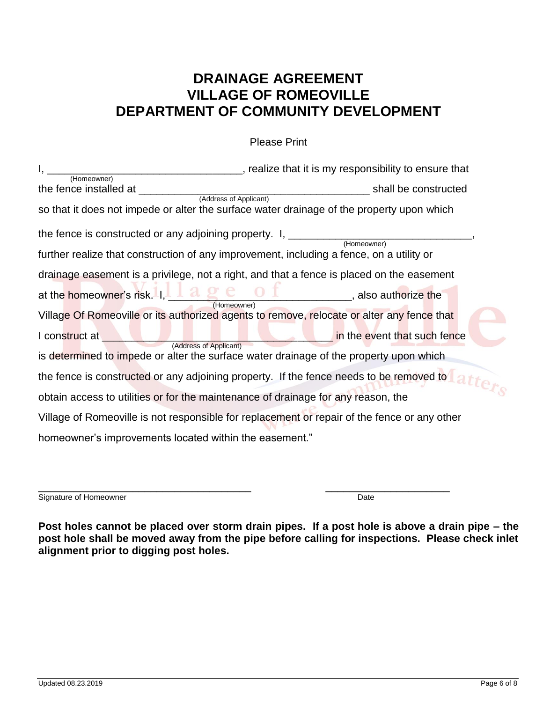## **DRAINAGE AGREEMENT VILLAGE OF ROMEOVILLE DEPARTMENT OF COMMUNITY DEVELOPMENT**

Please Print

| (Homeowner)                                                                                                                                                                                                                       | ______________, realize that it is my responsibility to ensure that                             |
|-----------------------------------------------------------------------------------------------------------------------------------------------------------------------------------------------------------------------------------|-------------------------------------------------------------------------------------------------|
| so that it does not impede or alter the surface water drainage of the property upon which                                                                                                                                         |                                                                                                 |
| the fence is constructed or any adjoining property. I, _________________________<br>further realize that construction of any improvement, including a fence, on a utility or                                                      |                                                                                                 |
| drainage easement is a privilege, not a right, and that a fence is placed on the easement                                                                                                                                         |                                                                                                 |
| at the homeowner's risk. I, <b>A &amp; C O I</b> , also authorize the<br>Village Of Romeoville or its authorized agents to remove, relocate or alter any fence that                                                               |                                                                                                 |
| I construct at the state of the state of the state of the state of the state of the state of the state of the<br>(Address of Applicant)<br>is determined to impede or alter the surface water drainage of the property upon which | in the event that such fence                                                                    |
|                                                                                                                                                                                                                                   | the fence is constructed or any adjoining property. If the fence needs to be removed to a there |
| obtain access to utilities or for the maintenance of drainage for any reason, the                                                                                                                                                 |                                                                                                 |
| Village of Romeoville is not responsible for replacement or repair of the fence or any other                                                                                                                                      |                                                                                                 |
| homeowner's improvements located within the easement."                                                                                                                                                                            |                                                                                                 |

\_\_\_\_\_\_\_\_\_\_\_\_\_\_\_\_\_\_\_\_\_\_\_\_\_\_\_\_\_\_\_\_\_\_\_\_ \_\_\_\_\_\_\_\_\_\_\_\_\_\_\_\_\_\_\_\_\_ Signature of Homeowner Date

**Post holes cannot be placed over storm drain pipes. If a post hole is above a drain pipe – the post hole shall be moved away from the pipe before calling for inspections. Please check inlet alignment prior to digging post holes.**

 $\overline{S}$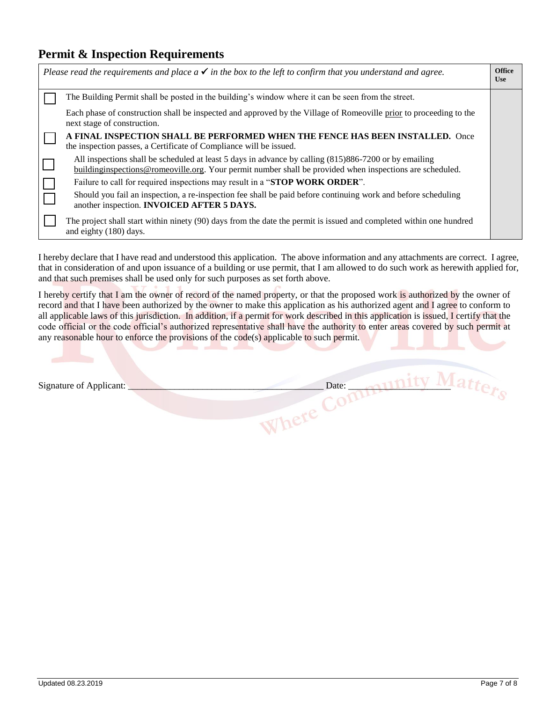### **Permit & Inspection Requirements**

| <b>Office</b><br>Please read the requirements and place $a \checkmark$ in the box to the left to confirm that you understand and agree.<br><b>Use</b> |                                                                                                                                                                                                                      |  |  |  |
|-------------------------------------------------------------------------------------------------------------------------------------------------------|----------------------------------------------------------------------------------------------------------------------------------------------------------------------------------------------------------------------|--|--|--|
|                                                                                                                                                       | The Building Permit shall be posted in the building's window where it can be seen from the street.                                                                                                                   |  |  |  |
|                                                                                                                                                       | Each phase of construction shall be inspected and approved by the Village of Romeoville prior to proceeding to the<br>next stage of construction.                                                                    |  |  |  |
|                                                                                                                                                       | A FINAL INSPECTION SHALL BE PERFORMED WHEN THE FENCE HAS BEEN INSTALLED. Once<br>the inspection passes, a Certificate of Compliance will be issued.                                                                  |  |  |  |
|                                                                                                                                                       | All inspections shall be scheduled at least 5 days in advance by calling (815)886-7200 or by emailing<br>building inspections @ romeoville.org. Your permit number shall be provided when inspections are scheduled. |  |  |  |
|                                                                                                                                                       | Failure to call for required inspections may result in a "STOP WORK ORDER".                                                                                                                                          |  |  |  |
|                                                                                                                                                       | Should you fail an inspection, a re-inspection fee shall be paid before continuing work and before scheduling<br>another inspection. <b>INVOICED AFTER 5 DAYS.</b>                                                   |  |  |  |
|                                                                                                                                                       | The project shall start within ninety (90) days from the date the permit is issued and completed within one hundred<br>and eighty (180) days.                                                                        |  |  |  |

I hereby declare that I have read and understood this application. The above information and any attachments are correct. I agree, that in consideration of and upon issuance of a building or use permit, that I am allowed to do such work as herewith applied for, and that such premises shall be used only for such purposes as set forth above.

I hereby certify that I am the owner of record of the named property, or that the proposed work is authorized by the owner of record and that I have been authorized by the owner to make this application as his authorized agent and I agree to conform to all applicable laws of this jurisdiction. In addition, if a permit for work described in this application is issued, I certify that the code official or the code official's authorized representative shall have the authority to enter areas covered by such permit at any reasonable hour to enforce the provisions of the code(s) applicable to such permit.

| Signature of Applicant: | Date: |  |
|-------------------------|-------|--|
|                         |       |  |
|                         |       |  |